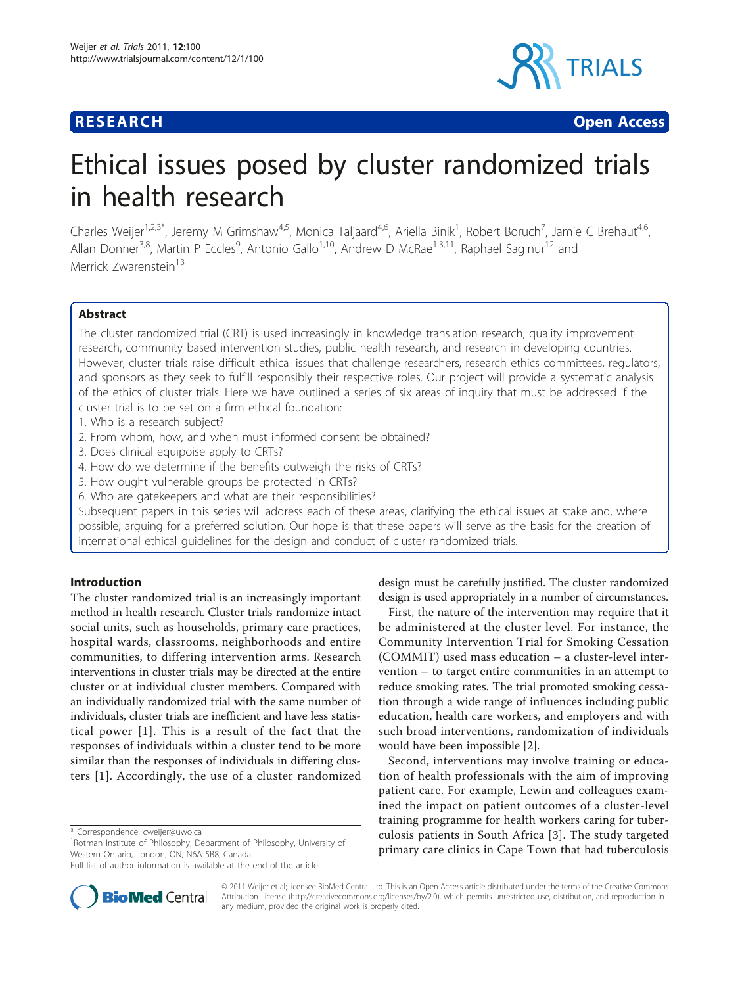

**RESEARCH CONSTRUCTION CONTROL** 

# Ethical issues posed by cluster randomized trials in health research

Charles Weijer<sup>1,2,3\*</sup>, Jeremy M Grimshaw<sup>4,5</sup>, Monica Taljaard<sup>4,6</sup>, Ariella Binik<sup>1</sup>, Robert Boruch<sup>7</sup>, Jamie C Brehaut<sup>4,6</sup>, Allan Donner<sup>3,8</sup>, Martin P Eccles<sup>9</sup>, Antonio Gallo<sup>1,10</sup>, Andrew D McRae<sup>1,3,11</sup>, Raphael Saginur<sup>12</sup> and Merrick Zwarenstein<sup>13</sup>

# Abstract

The cluster randomized trial (CRT) is used increasingly in knowledge translation research, quality improvement research, community based intervention studies, public health research, and research in developing countries. However, cluster trials raise difficult ethical issues that challenge researchers, research ethics committees, regulators, and sponsors as they seek to fulfill responsibly their respective roles. Our project will provide a systematic analysis of the ethics of cluster trials. Here we have outlined a series of six areas of inquiry that must be addressed if the cluster trial is to be set on a firm ethical foundation:

- 1. Who is a research subject?
- 2. From whom, how, and when must informed consent be obtained?
- 3. Does clinical equipoise apply to CRTs?
- 4. How do we determine if the benefits outweigh the risks of CRTs?
- 5. How ought vulnerable groups be protected in CRTs?
- 6. Who are gatekeepers and what are their responsibilities?

Subsequent papers in this series will address each of these areas, clarifying the ethical issues at stake and, where possible, arguing for a preferred solution. Our hope is that these papers will serve as the basis for the creation of international ethical guidelines for the design and conduct of cluster randomized trials.

# Introduction

The cluster randomized trial is an increasingly important method in health research. Cluster trials randomize intact social units, such as households, primary care practices, hospital wards, classrooms, neighborhoods and entire communities, to differing intervention arms. Research interventions in cluster trials may be directed at the entire cluster or at individual cluster members. Compared with an individually randomized trial with the same number of individuals, cluster trials are inefficient and have less statistical power [[1\]](#page-9-0). This is a result of the fact that the responses of individuals within a cluster tend to be more similar than the responses of individuals in differing clusters [[1\]](#page-9-0). Accordingly, the use of a cluster randomized



First, the nature of the intervention may require that it be administered at the cluster level. For instance, the Community Intervention Trial for Smoking Cessation (COMMIT) used mass education – a cluster-level intervention – to target entire communities in an attempt to reduce smoking rates. The trial promoted smoking cessation through a wide range of influences including public education, health care workers, and employers and with such broad interventions, randomization of individuals would have been impossible [\[2](#page-9-0)].

Second, interventions may involve training or education of health professionals with the aim of improving patient care. For example, Lewin and colleagues examined the impact on patient outcomes of a cluster-level training programme for health workers caring for tuberculosis patients in South Africa [[3\]](#page-9-0). The study targeted primary care clinics in Cape Town that had tuberculosis



© 2011 Weijer et al; licensee BioMed Central Ltd. This is an Open Access article distributed under the terms of the Creative Commons Attribution License [\(http://creativecommons.org/licenses/by/2.0](http://creativecommons.org/licenses/by/2.0)), which permits unrestricted use, distribution, and reproduction in any medium, provided the original work is properly cited.

<sup>\*</sup> Correspondence: [cweijer@uwo.ca](mailto:cweijer@uwo.ca)

<sup>&</sup>lt;sup>1</sup> Rotman Institute of Philosophy, Department of Philosophy, University of Western Ontario, London, ON, N6A 5B8, Canada

Full list of author information is available at the end of the article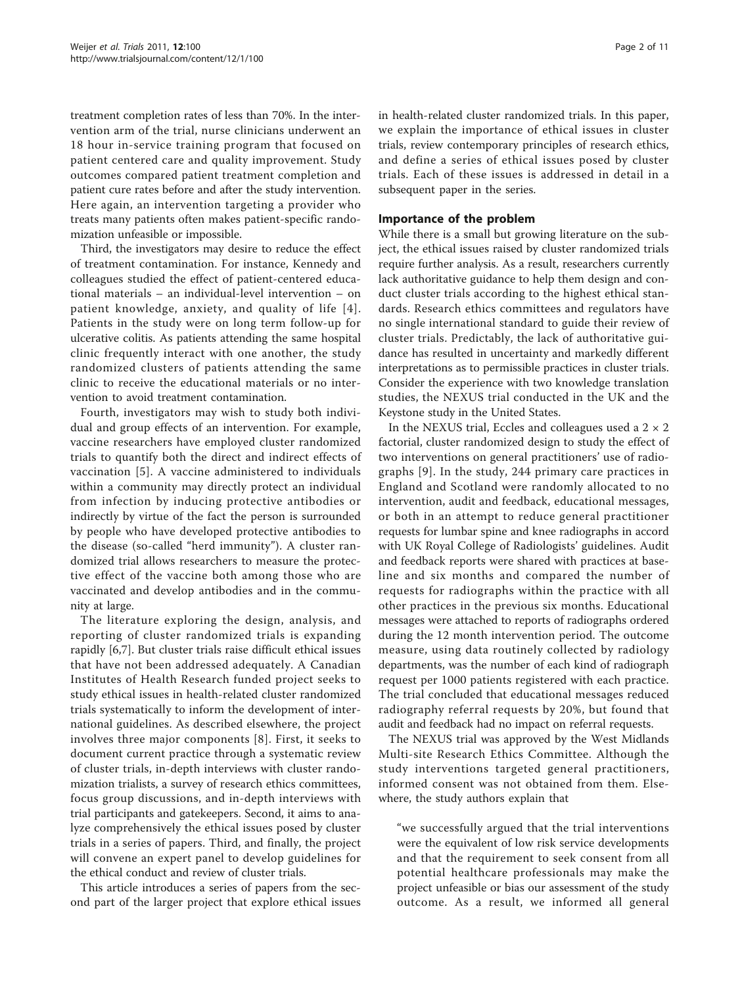treatment completion rates of less than 70%. In the intervention arm of the trial, nurse clinicians underwent an 18 hour in-service training program that focused on patient centered care and quality improvement. Study outcomes compared patient treatment completion and patient cure rates before and after the study intervention. Here again, an intervention targeting a provider who treats many patients often makes patient-specific randomization unfeasible or impossible.

Third, the investigators may desire to reduce the effect of treatment contamination. For instance, Kennedy and colleagues studied the effect of patient-centered educational materials – an individual-level intervention – on patient knowledge, anxiety, and quality of life [[4\]](#page-9-0). Patients in the study were on long term follow-up for ulcerative colitis. As patients attending the same hospital clinic frequently interact with one another, the study randomized clusters of patients attending the same clinic to receive the educational materials or no intervention to avoid treatment contamination.

Fourth, investigators may wish to study both individual and group effects of an intervention. For example, vaccine researchers have employed cluster randomized trials to quantify both the direct and indirect effects of vaccination [\[5\]](#page-9-0). A vaccine administered to individuals within a community may directly protect an individual from infection by inducing protective antibodies or indirectly by virtue of the fact the person is surrounded by people who have developed protective antibodies to the disease (so-called "herd immunity"). A cluster randomized trial allows researchers to measure the protective effect of the vaccine both among those who are vaccinated and develop antibodies and in the community at large.

The literature exploring the design, analysis, and reporting of cluster randomized trials is expanding rapidly [[6,7\]](#page-9-0). But cluster trials raise difficult ethical issues that have not been addressed adequately. A Canadian Institutes of Health Research funded project seeks to study ethical issues in health-related cluster randomized trials systematically to inform the development of international guidelines. As described elsewhere, the project involves three major components [[8\]](#page-9-0). First, it seeks to document current practice through a systematic review of cluster trials, in-depth interviews with cluster randomization trialists, a survey of research ethics committees, focus group discussions, and in-depth interviews with trial participants and gatekeepers. Second, it aims to analyze comprehensively the ethical issues posed by cluster trials in a series of papers. Third, and finally, the project will convene an expert panel to develop guidelines for the ethical conduct and review of cluster trials.

This article introduces a series of papers from the second part of the larger project that explore ethical issues in health-related cluster randomized trials. In this paper, we explain the importance of ethical issues in cluster trials, review contemporary principles of research ethics, and define a series of ethical issues posed by cluster trials. Each of these issues is addressed in detail in a subsequent paper in the series.

#### Importance of the problem

While there is a small but growing literature on the subject, the ethical issues raised by cluster randomized trials require further analysis. As a result, researchers currently lack authoritative guidance to help them design and conduct cluster trials according to the highest ethical standards. Research ethics committees and regulators have no single international standard to guide their review of cluster trials. Predictably, the lack of authoritative guidance has resulted in uncertainty and markedly different interpretations as to permissible practices in cluster trials. Consider the experience with two knowledge translation studies, the NEXUS trial conducted in the UK and the Keystone study in the United States.

In the NEXUS trial, Eccles and colleagues used a  $2 \times 2$ factorial, cluster randomized design to study the effect of two interventions on general practitioners' use of radiographs [[9](#page-9-0)]. In the study, 244 primary care practices in England and Scotland were randomly allocated to no intervention, audit and feedback, educational messages, or both in an attempt to reduce general practitioner requests for lumbar spine and knee radiographs in accord with UK Royal College of Radiologists' guidelines. Audit and feedback reports were shared with practices at baseline and six months and compared the number of requests for radiographs within the practice with all other practices in the previous six months. Educational messages were attached to reports of radiographs ordered during the 12 month intervention period. The outcome measure, using data routinely collected by radiology departments, was the number of each kind of radiograph request per 1000 patients registered with each practice. The trial concluded that educational messages reduced radiography referral requests by 20%, but found that audit and feedback had no impact on referral requests.

The NEXUS trial was approved by the West Midlands Multi-site Research Ethics Committee. Although the study interventions targeted general practitioners, informed consent was not obtained from them. Elsewhere, the study authors explain that

"we successfully argued that the trial interventions were the equivalent of low risk service developments and that the requirement to seek consent from all potential healthcare professionals may make the project unfeasible or bias our assessment of the study outcome. As a result, we informed all general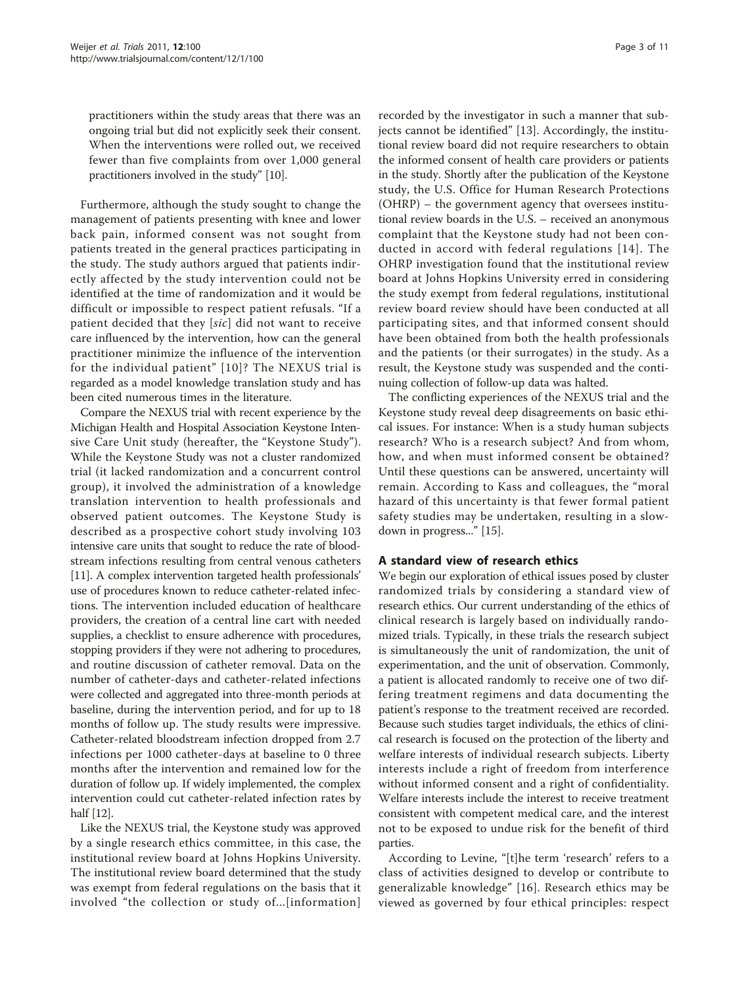practitioners within the study areas that there was an ongoing trial but did not explicitly seek their consent. When the interventions were rolled out, we received fewer than five complaints from over 1,000 general practitioners involved in the study" [[10](#page-9-0)].

Furthermore, although the study sought to change the management of patients presenting with knee and lower back pain, informed consent was not sought from patients treated in the general practices participating in the study. The study authors argued that patients indirectly affected by the study intervention could not be identified at the time of randomization and it would be difficult or impossible to respect patient refusals. "If a patient decided that they [sic] did not want to receive care influenced by the intervention, how can the general practitioner minimize the influence of the intervention for the individual patient" [[10](#page-9-0)]? The NEXUS trial is regarded as a model knowledge translation study and has been cited numerous times in the literature.

Compare the NEXUS trial with recent experience by the Michigan Health and Hospital Association Keystone Intensive Care Unit study (hereafter, the "Keystone Study"). While the Keystone Study was not a cluster randomized trial (it lacked randomization and a concurrent control group), it involved the administration of a knowledge translation intervention to health professionals and observed patient outcomes. The Keystone Study is described as a prospective cohort study involving 103 intensive care units that sought to reduce the rate of bloodstream infections resulting from central venous catheters [[11](#page-10-0)]. A complex intervention targeted health professionals' use of procedures known to reduce catheter-related infections. The intervention included education of healthcare providers, the creation of a central line cart with needed supplies, a checklist to ensure adherence with procedures, stopping providers if they were not adhering to procedures, and routine discussion of catheter removal. Data on the number of catheter-days and catheter-related infections were collected and aggregated into three-month periods at baseline, during the intervention period, and for up to 18 months of follow up. The study results were impressive. Catheter-related bloodstream infection dropped from 2.7 infections per 1000 catheter-days at baseline to 0 three months after the intervention and remained low for the duration of follow up. If widely implemented, the complex intervention could cut catheter-related infection rates by half [\[12](#page-10-0)].

Like the NEXUS trial, the Keystone study was approved by a single research ethics committee, in this case, the institutional review board at Johns Hopkins University. The institutional review board determined that the study was exempt from federal regulations on the basis that it involved "the collection or study of...[information]

recorded by the investigator in such a manner that subjects cannot be identified" [[13\]](#page-10-0). Accordingly, the institutional review board did not require researchers to obtain the informed consent of health care providers or patients in the study. Shortly after the publication of the Keystone study, the U.S. Office for Human Research Protections (OHRP) – the government agency that oversees institutional review boards in the U.S. – received an anonymous complaint that the Keystone study had not been conducted in accord with federal regulations [[14](#page-10-0)]. The OHRP investigation found that the institutional review board at Johns Hopkins University erred in considering the study exempt from federal regulations, institutional review board review should have been conducted at all participating sites, and that informed consent should have been obtained from both the health professionals and the patients (or their surrogates) in the study. As a result, the Keystone study was suspended and the continuing collection of follow-up data was halted.

The conflicting experiences of the NEXUS trial and the Keystone study reveal deep disagreements on basic ethical issues. For instance: When is a study human subjects research? Who is a research subject? And from whom, how, and when must informed consent be obtained? Until these questions can be answered, uncertainty will remain. According to Kass and colleagues, the "moral hazard of this uncertainty is that fewer formal patient safety studies may be undertaken, resulting in a slowdown in progress..." [[15](#page-10-0)].

#### A standard view of research ethics

We begin our exploration of ethical issues posed by cluster randomized trials by considering a standard view of research ethics. Our current understanding of the ethics of clinical research is largely based on individually randomized trials. Typically, in these trials the research subject is simultaneously the unit of randomization, the unit of experimentation, and the unit of observation. Commonly, a patient is allocated randomly to receive one of two differing treatment regimens and data documenting the patient's response to the treatment received are recorded. Because such studies target individuals, the ethics of clinical research is focused on the protection of the liberty and welfare interests of individual research subjects. Liberty interests include a right of freedom from interference without informed consent and a right of confidentiality. Welfare interests include the interest to receive treatment consistent with competent medical care, and the interest not to be exposed to undue risk for the benefit of third parties.

According to Levine, "[t]he term 'research' refers to a class of activities designed to develop or contribute to generalizable knowledge" [[16](#page-10-0)]. Research ethics may be viewed as governed by four ethical principles: respect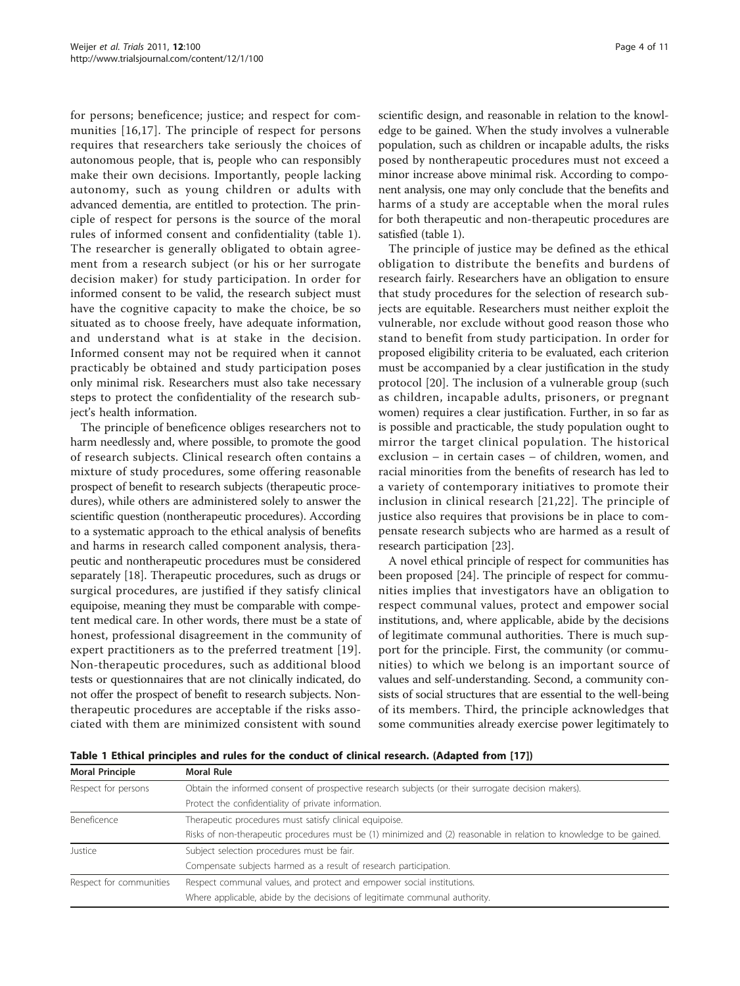for persons; beneficence; justice; and respect for communities [[16](#page-10-0),[17\]](#page-10-0). The principle of respect for persons requires that researchers take seriously the choices of autonomous people, that is, people who can responsibly make their own decisions. Importantly, people lacking autonomy, such as young children or adults with advanced dementia, are entitled to protection. The principle of respect for persons is the source of the moral rules of informed consent and confidentiality (table 1). The researcher is generally obligated to obtain agreement from a research subject (or his or her surrogate decision maker) for study participation. In order for informed consent to be valid, the research subject must have the cognitive capacity to make the choice, be so situated as to choose freely, have adequate information, and understand what is at stake in the decision. Informed consent may not be required when it cannot practicably be obtained and study participation poses only minimal risk. Researchers must also take necessary steps to protect the confidentiality of the research subject's health information.

The principle of beneficence obliges researchers not to harm needlessly and, where possible, to promote the good of research subjects. Clinical research often contains a mixture of study procedures, some offering reasonable prospect of benefit to research subjects (therapeutic procedures), while others are administered solely to answer the scientific question (nontherapeutic procedures). According to a systematic approach to the ethical analysis of benefits and harms in research called component analysis, therapeutic and nontherapeutic procedures must be considered separately [\[18\]](#page-10-0). Therapeutic procedures, such as drugs or surgical procedures, are justified if they satisfy clinical equipoise, meaning they must be comparable with competent medical care. In other words, there must be a state of honest, professional disagreement in the community of expert practitioners as to the preferred treatment [[19](#page-10-0)]. Non-therapeutic procedures, such as additional blood tests or questionnaires that are not clinically indicated, do not offer the prospect of benefit to research subjects. Nontherapeutic procedures are acceptable if the risks associated with them are minimized consistent with sound scientific design, and reasonable in relation to the knowledge to be gained. When the study involves a vulnerable population, such as children or incapable adults, the risks posed by nontherapeutic procedures must not exceed a minor increase above minimal risk. According to component analysis, one may only conclude that the benefits and harms of a study are acceptable when the moral rules for both therapeutic and non-therapeutic procedures are satisfied (table 1).

The principle of justice may be defined as the ethical obligation to distribute the benefits and burdens of research fairly. Researchers have an obligation to ensure that study procedures for the selection of research subjects are equitable. Researchers must neither exploit the vulnerable, nor exclude without good reason those who stand to benefit from study participation. In order for proposed eligibility criteria to be evaluated, each criterion must be accompanied by a clear justification in the study protocol [[20\]](#page-10-0). The inclusion of a vulnerable group (such as children, incapable adults, prisoners, or pregnant women) requires a clear justification. Further, in so far as is possible and practicable, the study population ought to mirror the target clinical population. The historical exclusion – in certain cases – of children, women, and racial minorities from the benefits of research has led to a variety of contemporary initiatives to promote their inclusion in clinical research [[21,22](#page-10-0)]. The principle of justice also requires that provisions be in place to compensate research subjects who are harmed as a result of research participation [[23\]](#page-10-0).

A novel ethical principle of respect for communities has been proposed [[24](#page-10-0)]. The principle of respect for communities implies that investigators have an obligation to respect communal values, protect and empower social institutions, and, where applicable, abide by the decisions of legitimate communal authorities. There is much support for the principle. First, the community (or communities) to which we belong is an important source of values and self-understanding. Second, a community consists of social structures that are essential to the well-being of its members. Third, the principle acknowledges that some communities already exercise power legitimately to

Table 1 Ethical principles and rules for the conduct of clinical research. (Adapted from [[17](#page-10-0)])

| <b>Moral Principle</b>  | Moral Rule                                                                                                          |
|-------------------------|---------------------------------------------------------------------------------------------------------------------|
| Respect for persons     | Obtain the informed consent of prospective research subjects (or their surrogate decision makers).                  |
|                         | Protect the confidentiality of private information.                                                                 |
| Beneficence             | Therapeutic procedures must satisfy clinical equipoise.                                                             |
|                         | Risks of non-therapeutic procedures must be (1) minimized and (2) reasonable in relation to knowledge to be gained. |
| Justice                 | Subject selection procedures must be fair.                                                                          |
|                         | Compensate subjects harmed as a result of research participation.                                                   |
| Respect for communities | Respect communal values, and protect and empower social institutions.                                               |
|                         | Where applicable, abide by the decisions of legitimate communal authority.                                          |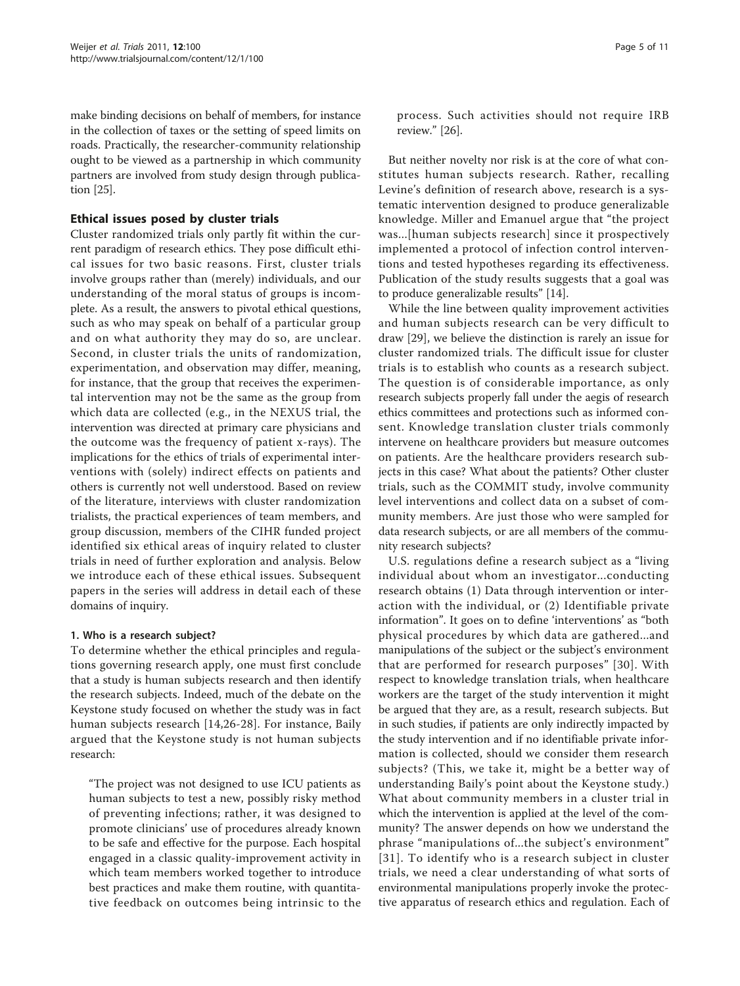make binding decisions on behalf of members, for instance in the collection of taxes or the setting of speed limits on roads. Practically, the researcher-community relationship ought to be viewed as a partnership in which community partners are involved from study design through publication [\[25\]](#page-10-0).

# Ethical issues posed by cluster trials

Cluster randomized trials only partly fit within the current paradigm of research ethics. They pose difficult ethical issues for two basic reasons. First, cluster trials involve groups rather than (merely) individuals, and our understanding of the moral status of groups is incomplete. As a result, the answers to pivotal ethical questions, such as who may speak on behalf of a particular group and on what authority they may do so, are unclear. Second, in cluster trials the units of randomization, experimentation, and observation may differ, meaning, for instance, that the group that receives the experimental intervention may not be the same as the group from which data are collected (e.g., in the NEXUS trial, the intervention was directed at primary care physicians and the outcome was the frequency of patient x-rays). The implications for the ethics of trials of experimental interventions with (solely) indirect effects on patients and others is currently not well understood. Based on review of the literature, interviews with cluster randomization trialists, the practical experiences of team members, and group discussion, members of the CIHR funded project identified six ethical areas of inquiry related to cluster trials in need of further exploration and analysis. Below we introduce each of these ethical issues. Subsequent papers in the series will address in detail each of these domains of inquiry.

# 1. Who is a research subject?

To determine whether the ethical principles and regulations governing research apply, one must first conclude that a study is human subjects research and then identify the research subjects. Indeed, much of the debate on the Keystone study focused on whether the study was in fact human subjects research [\[14,26](#page-10-0)-[28\]](#page-10-0). For instance, Baily argued that the Keystone study is not human subjects research:

"The project was not designed to use ICU patients as human subjects to test a new, possibly risky method of preventing infections; rather, it was designed to promote clinicians' use of procedures already known to be safe and effective for the purpose. Each hospital engaged in a classic quality-improvement activity in which team members worked together to introduce best practices and make them routine, with quantitative feedback on outcomes being intrinsic to the process. Such activities should not require IRB review." [[26](#page-10-0)].

But neither novelty nor risk is at the core of what constitutes human subjects research. Rather, recalling Levine's definition of research above, research is a systematic intervention designed to produce generalizable knowledge. Miller and Emanuel argue that "the project was...[human subjects research] since it prospectively implemented a protocol of infection control interventions and tested hypotheses regarding its effectiveness. Publication of the study results suggests that a goal was to produce generalizable results" [[14\]](#page-10-0).

While the line between quality improvement activities and human subjects research can be very difficult to draw [[29\]](#page-10-0), we believe the distinction is rarely an issue for cluster randomized trials. The difficult issue for cluster trials is to establish who counts as a research subject. The question is of considerable importance, as only research subjects properly fall under the aegis of research ethics committees and protections such as informed consent. Knowledge translation cluster trials commonly intervene on healthcare providers but measure outcomes on patients. Are the healthcare providers research subjects in this case? What about the patients? Other cluster trials, such as the COMMIT study, involve community level interventions and collect data on a subset of community members. Are just those who were sampled for data research subjects, or are all members of the community research subjects?

U.S. regulations define a research subject as a "living individual about whom an investigator...conducting research obtains (1) Data through intervention or interaction with the individual, or (2) Identifiable private information". It goes on to define 'interventions' as "both physical procedures by which data are gathered...and manipulations of the subject or the subject's environment that are performed for research purposes" [[30](#page-10-0)]. With respect to knowledge translation trials, when healthcare workers are the target of the study intervention it might be argued that they are, as a result, research subjects. But in such studies, if patients are only indirectly impacted by the study intervention and if no identifiable private information is collected, should we consider them research subjects? (This, we take it, might be a better way of understanding Baily's point about the Keystone study.) What about community members in a cluster trial in which the intervention is applied at the level of the community? The answer depends on how we understand the phrase "manipulations of...the subject's environment" [[31\]](#page-10-0). To identify who is a research subject in cluster trials, we need a clear understanding of what sorts of environmental manipulations properly invoke the protective apparatus of research ethics and regulation. Each of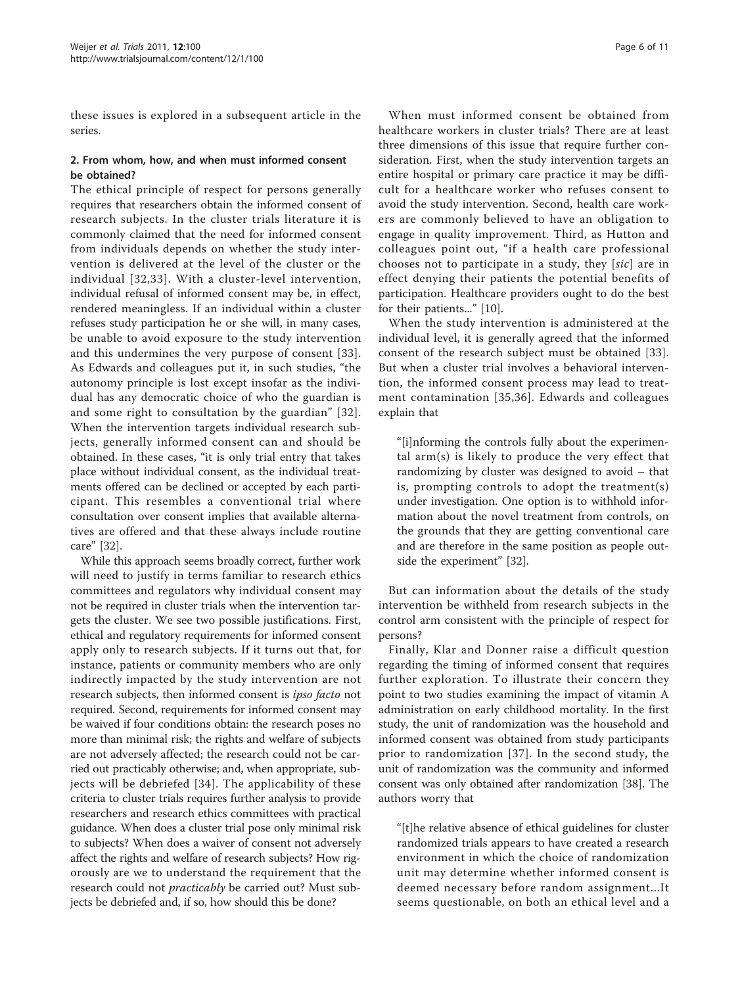these issues is explored in a subsequent article in the series.

### 2. From whom, how, and when must informed consent be obtained?

The ethical principle of respect for persons generally requires that researchers obtain the informed consent of research subjects. In the cluster trials literature it is commonly claimed that the need for informed consent from individuals depends on whether the study intervention is delivered at the level of the cluster or the individual [[32,33\]](#page-10-0). With a cluster-level intervention, individual refusal of informed consent may be, in effect, rendered meaningless. If an individual within a cluster refuses study participation he or she will, in many cases, be unable to avoid exposure to the study intervention and this undermines the very purpose of consent [[33](#page-10-0)]. As Edwards and colleagues put it, in such studies, "the autonomy principle is lost except insofar as the individual has any democratic choice of who the guardian is and some right to consultation by the guardian" [[32\]](#page-10-0). When the intervention targets individual research subjects, generally informed consent can and should be obtained. In these cases, "it is only trial entry that takes place without individual consent, as the individual treatments offered can be declined or accepted by each participant. This resembles a conventional trial where consultation over consent implies that available alternatives are offered and that these always include routine care" [\[32](#page-10-0)].

While this approach seems broadly correct, further work will need to justify in terms familiar to research ethics committees and regulators why individual consent may not be required in cluster trials when the intervention targets the cluster. We see two possible justifications. First, ethical and regulatory requirements for informed consent apply only to research subjects. If it turns out that, for instance, patients or community members who are only indirectly impacted by the study intervention are not research subjects, then informed consent is ipso facto not required. Second, requirements for informed consent may be waived if four conditions obtain: the research poses no more than minimal risk; the rights and welfare of subjects are not adversely affected; the research could not be carried out practicably otherwise; and, when appropriate, subjects will be debriefed [[34](#page-10-0)]. The applicability of these criteria to cluster trials requires further analysis to provide researchers and research ethics committees with practical guidance. When does a cluster trial pose only minimal risk to subjects? When does a waiver of consent not adversely affect the rights and welfare of research subjects? How rigorously are we to understand the requirement that the research could not *practicably* be carried out? Must subjects be debriefed and, if so, how should this be done?

When must informed consent be obtained from healthcare workers in cluster trials? There are at least three dimensions of this issue that require further consideration. First, when the study intervention targets an entire hospital or primary care practice it may be difficult for a healthcare worker who refuses consent to avoid the study intervention. Second, health care workers are commonly believed to have an obligation to engage in quality improvement. Third, as Hutton and colleagues point out, "if a health care professional chooses not to participate in a study, they [sic] are in effect denying their patients the potential benefits of participation. Healthcare providers ought to do the best for their patients..." [\[10\]](#page-9-0).

When the study intervention is administered at the individual level, it is generally agreed that the informed consent of the research subject must be obtained [[33](#page-10-0)]. But when a cluster trial involves a behavioral intervention, the informed consent process may lead to treatment contamination [[35,36\]](#page-10-0). Edwards and colleagues explain that

"[i]nforming the controls fully about the experimental arm(s) is likely to produce the very effect that randomizing by cluster was designed to avoid – that is, prompting controls to adopt the treatment(s) under investigation. One option is to withhold information about the novel treatment from controls, on the grounds that they are getting conventional care and are therefore in the same position as people outside the experiment" [[32\]](#page-10-0).

But can information about the details of the study intervention be withheld from research subjects in the control arm consistent with the principle of respect for persons?

Finally, Klar and Donner raise a difficult question regarding the timing of informed consent that requires further exploration. To illustrate their concern they point to two studies examining the impact of vitamin A administration on early childhood mortality. In the first study, the unit of randomization was the household and informed consent was obtained from study participants prior to randomization [\[37\]](#page-10-0). In the second study, the unit of randomization was the community and informed consent was only obtained after randomization [\[38\]](#page-10-0). The authors worry that

"[t]he relative absence of ethical guidelines for cluster randomized trials appears to have created a research environment in which the choice of randomization unit may determine whether informed consent is deemed necessary before random assignment...It seems questionable, on both an ethical level and a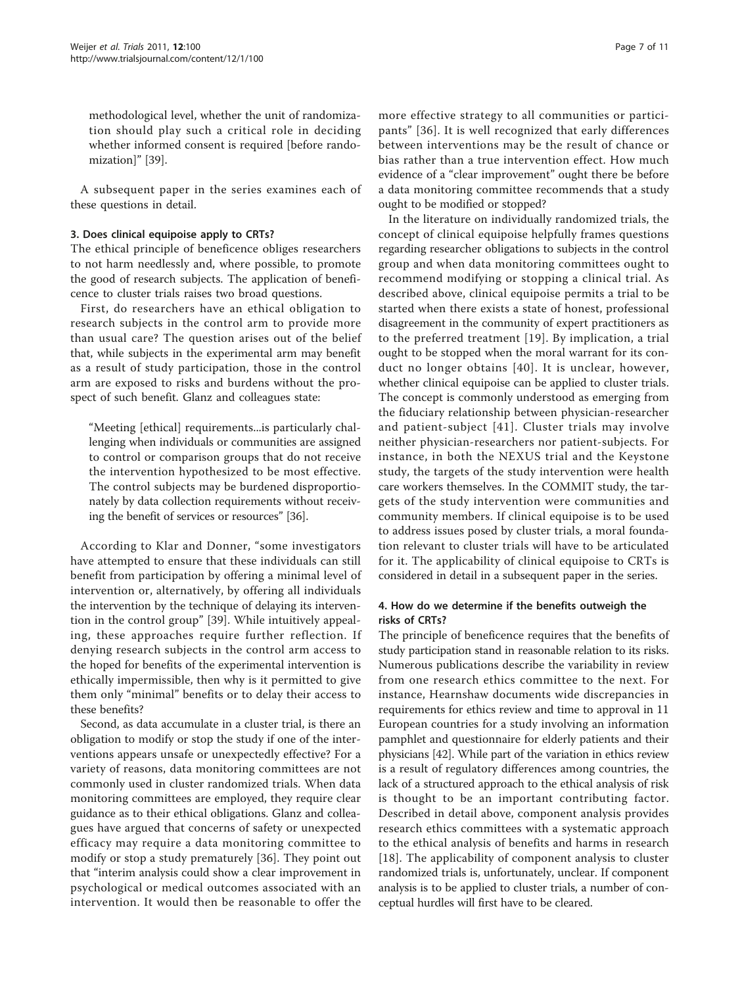methodological level, whether the unit of randomization should play such a critical role in deciding whether informed consent is required [before randomization]" [[39](#page-10-0)].

A subsequent paper in the series examines each of these questions in detail.

#### 3. Does clinical equipoise apply to CRTs?

The ethical principle of beneficence obliges researchers to not harm needlessly and, where possible, to promote the good of research subjects. The application of beneficence to cluster trials raises two broad questions.

First, do researchers have an ethical obligation to research subjects in the control arm to provide more than usual care? The question arises out of the belief that, while subjects in the experimental arm may benefit as a result of study participation, those in the control arm are exposed to risks and burdens without the prospect of such benefit. Glanz and colleagues state:

"Meeting [ethical] requirements...is particularly challenging when individuals or communities are assigned to control or comparison groups that do not receive the intervention hypothesized to be most effective. The control subjects may be burdened disproportionately by data collection requirements without receiving the benefit of services or resources" [\[36](#page-10-0)].

According to Klar and Donner, "some investigators have attempted to ensure that these individuals can still benefit from participation by offering a minimal level of intervention or, alternatively, by offering all individuals the intervention by the technique of delaying its intervention in the control group" [[39\]](#page-10-0). While intuitively appealing, these approaches require further reflection. If denying research subjects in the control arm access to the hoped for benefits of the experimental intervention is ethically impermissible, then why is it permitted to give them only "minimal" benefits or to delay their access to these benefits?

Second, as data accumulate in a cluster trial, is there an obligation to modify or stop the study if one of the interventions appears unsafe or unexpectedly effective? For a variety of reasons, data monitoring committees are not commonly used in cluster randomized trials. When data monitoring committees are employed, they require clear guidance as to their ethical obligations. Glanz and colleagues have argued that concerns of safety or unexpected efficacy may require a data monitoring committee to modify or stop a study prematurely [[36\]](#page-10-0). They point out that "interim analysis could show a clear improvement in psychological or medical outcomes associated with an intervention. It would then be reasonable to offer the

more effective strategy to all communities or participants" [\[36\]](#page-10-0). It is well recognized that early differences between interventions may be the result of chance or bias rather than a true intervention effect. How much evidence of a "clear improvement" ought there be before a data monitoring committee recommends that a study ought to be modified or stopped?

In the literature on individually randomized trials, the concept of clinical equipoise helpfully frames questions regarding researcher obligations to subjects in the control group and when data monitoring committees ought to recommend modifying or stopping a clinical trial. As described above, clinical equipoise permits a trial to be started when there exists a state of honest, professional disagreement in the community of expert practitioners as to the preferred treatment [[19\]](#page-10-0). By implication, a trial ought to be stopped when the moral warrant for its conduct no longer obtains [[40\]](#page-10-0). It is unclear, however, whether clinical equipoise can be applied to cluster trials. The concept is commonly understood as emerging from the fiduciary relationship between physician-researcher and patient-subject [[41\]](#page-10-0). Cluster trials may involve neither physician-researchers nor patient-subjects. For instance, in both the NEXUS trial and the Keystone study, the targets of the study intervention were health care workers themselves. In the COMMIT study, the targets of the study intervention were communities and community members. If clinical equipoise is to be used to address issues posed by cluster trials, a moral foundation relevant to cluster trials will have to be articulated for it. The applicability of clinical equipoise to CRTs is considered in detail in a subsequent paper in the series.

# 4. How do we determine if the benefits outweigh the risks of CRTs?

The principle of beneficence requires that the benefits of study participation stand in reasonable relation to its risks. Numerous publications describe the variability in review from one research ethics committee to the next. For instance, Hearnshaw documents wide discrepancies in requirements for ethics review and time to approval in 11 European countries for a study involving an information pamphlet and questionnaire for elderly patients and their physicians [\[42\]](#page-10-0). While part of the variation in ethics review is a result of regulatory differences among countries, the lack of a structured approach to the ethical analysis of risk is thought to be an important contributing factor. Described in detail above, component analysis provides research ethics committees with a systematic approach to the ethical analysis of benefits and harms in research [[18](#page-10-0)]. The applicability of component analysis to cluster randomized trials is, unfortunately, unclear. If component analysis is to be applied to cluster trials, a number of conceptual hurdles will first have to be cleared.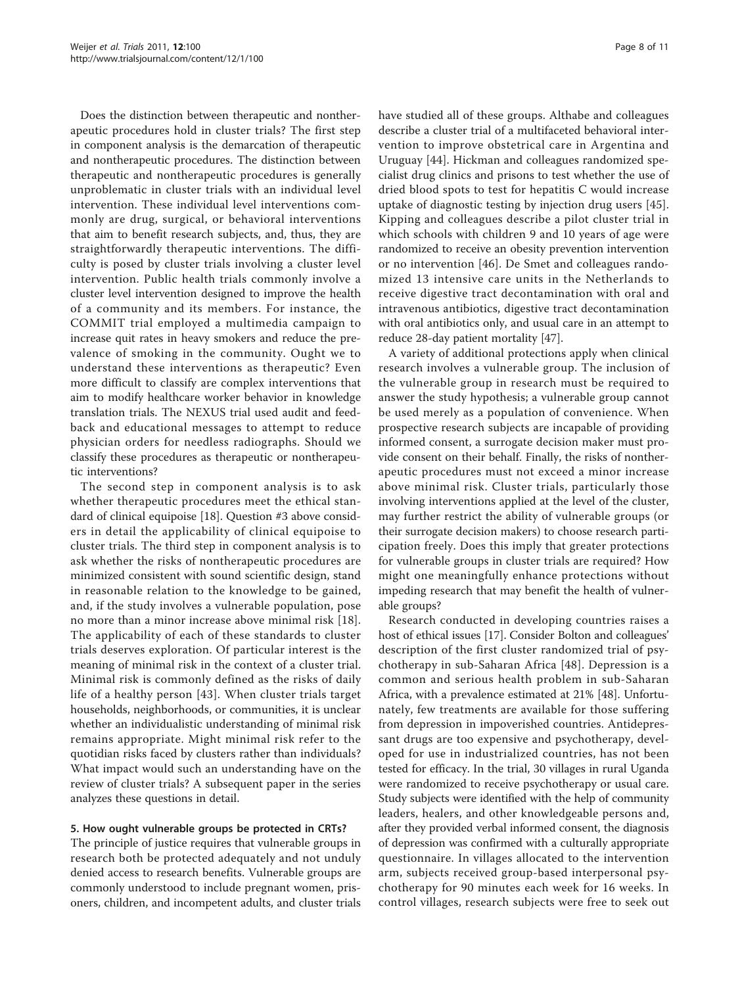Does the distinction between therapeutic and nontherapeutic procedures hold in cluster trials? The first step in component analysis is the demarcation of therapeutic and nontherapeutic procedures. The distinction between therapeutic and nontherapeutic procedures is generally unproblematic in cluster trials with an individual level intervention. These individual level interventions commonly are drug, surgical, or behavioral interventions that aim to benefit research subjects, and, thus, they are straightforwardly therapeutic interventions. The difficulty is posed by cluster trials involving a cluster level intervention. Public health trials commonly involve a cluster level intervention designed to improve the health of a community and its members. For instance, the COMMIT trial employed a multimedia campaign to increase quit rates in heavy smokers and reduce the prevalence of smoking in the community. Ought we to understand these interventions as therapeutic? Even more difficult to classify are complex interventions that aim to modify healthcare worker behavior in knowledge translation trials. The NEXUS trial used audit and feedback and educational messages to attempt to reduce physician orders for needless radiographs. Should we classify these procedures as therapeutic or nontherapeutic interventions?

The second step in component analysis is to ask whether therapeutic procedures meet the ethical standard of clinical equipoise [\[18\]](#page-10-0). Question #3 above considers in detail the applicability of clinical equipoise to cluster trials. The third step in component analysis is to ask whether the risks of nontherapeutic procedures are minimized consistent with sound scientific design, stand in reasonable relation to the knowledge to be gained, and, if the study involves a vulnerable population, pose no more than a minor increase above minimal risk [[18](#page-10-0)]. The applicability of each of these standards to cluster trials deserves exploration. Of particular interest is the meaning of minimal risk in the context of a cluster trial. Minimal risk is commonly defined as the risks of daily life of a healthy person [[43\]](#page-10-0). When cluster trials target households, neighborhoods, or communities, it is unclear whether an individualistic understanding of minimal risk remains appropriate. Might minimal risk refer to the quotidian risks faced by clusters rather than individuals? What impact would such an understanding have on the review of cluster trials? A subsequent paper in the series analyzes these questions in detail.

# 5. How ought vulnerable groups be protected in CRTs?

The principle of justice requires that vulnerable groups in research both be protected adequately and not unduly denied access to research benefits. Vulnerable groups are commonly understood to include pregnant women, prisoners, children, and incompetent adults, and cluster trials have studied all of these groups. Althabe and colleagues describe a cluster trial of a multifaceted behavioral intervention to improve obstetrical care in Argentina and Uruguay [\[44](#page-10-0)]. Hickman and colleagues randomized specialist drug clinics and prisons to test whether the use of dried blood spots to test for hepatitis C would increase uptake of diagnostic testing by injection drug users [\[45](#page-10-0)]. Kipping and colleagues describe a pilot cluster trial in which schools with children 9 and 10 years of age were randomized to receive an obesity prevention intervention or no intervention [\[46](#page-10-0)]. De Smet and colleagues randomized 13 intensive care units in the Netherlands to receive digestive tract decontamination with oral and intravenous antibiotics, digestive tract decontamination with oral antibiotics only, and usual care in an attempt to reduce 28-day patient mortality [[47](#page-10-0)].

A variety of additional protections apply when clinical research involves a vulnerable group. The inclusion of the vulnerable group in research must be required to answer the study hypothesis; a vulnerable group cannot be used merely as a population of convenience. When prospective research subjects are incapable of providing informed consent, a surrogate decision maker must provide consent on their behalf. Finally, the risks of nontherapeutic procedures must not exceed a minor increase above minimal risk. Cluster trials, particularly those involving interventions applied at the level of the cluster, may further restrict the ability of vulnerable groups (or their surrogate decision makers) to choose research participation freely. Does this imply that greater protections for vulnerable groups in cluster trials are required? How might one meaningfully enhance protections without impeding research that may benefit the health of vulnerable groups?

Research conducted in developing countries raises a host of ethical issues [[17](#page-10-0)]. Consider Bolton and colleagues' description of the first cluster randomized trial of psychotherapy in sub-Saharan Africa [[48\]](#page-10-0). Depression is a common and serious health problem in sub-Saharan Africa, with a prevalence estimated at 21% [\[48](#page-10-0)]. Unfortunately, few treatments are available for those suffering from depression in impoverished countries. Antidepressant drugs are too expensive and psychotherapy, developed for use in industrialized countries, has not been tested for efficacy. In the trial, 30 villages in rural Uganda were randomized to receive psychotherapy or usual care. Study subjects were identified with the help of community leaders, healers, and other knowledgeable persons and, after they provided verbal informed consent, the diagnosis of depression was confirmed with a culturally appropriate questionnaire. In villages allocated to the intervention arm, subjects received group-based interpersonal psychotherapy for 90 minutes each week for 16 weeks. In control villages, research subjects were free to seek out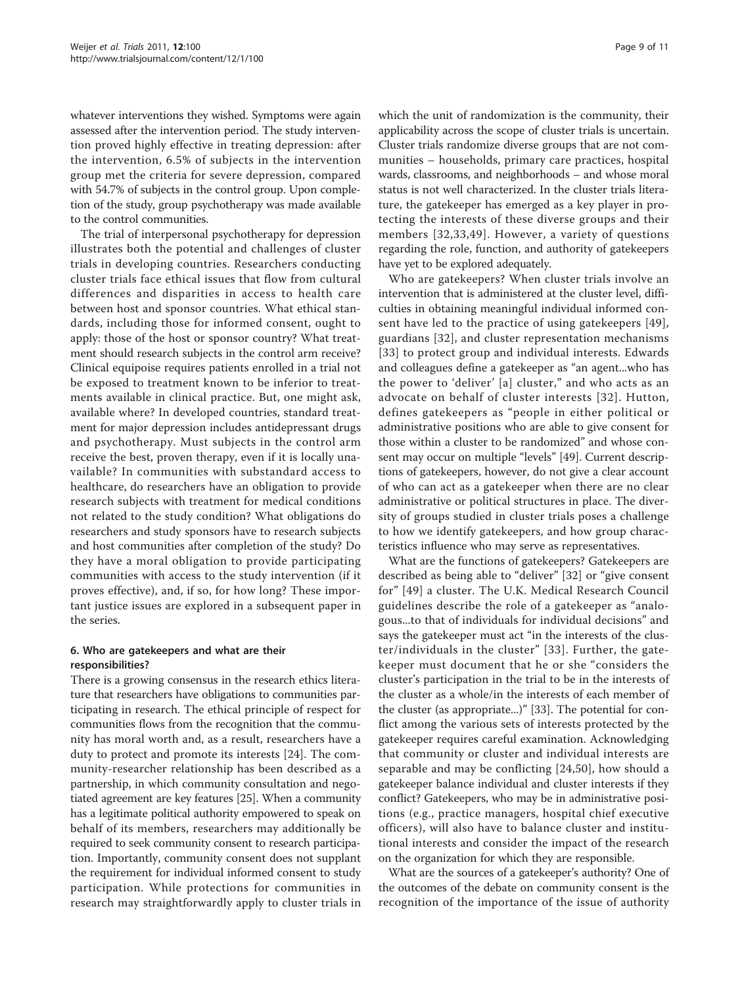whatever interventions they wished. Symptoms were again assessed after the intervention period. The study intervention proved highly effective in treating depression: after the intervention, 6.5% of subjects in the intervention group met the criteria for severe depression, compared with 54.7% of subjects in the control group. Upon completion of the study, group psychotherapy was made available to the control communities.

The trial of interpersonal psychotherapy for depression illustrates both the potential and challenges of cluster trials in developing countries. Researchers conducting cluster trials face ethical issues that flow from cultural differences and disparities in access to health care between host and sponsor countries. What ethical standards, including those for informed consent, ought to apply: those of the host or sponsor country? What treatment should research subjects in the control arm receive? Clinical equipoise requires patients enrolled in a trial not be exposed to treatment known to be inferior to treatments available in clinical practice. But, one might ask, available where? In developed countries, standard treatment for major depression includes antidepressant drugs and psychotherapy. Must subjects in the control arm receive the best, proven therapy, even if it is locally unavailable? In communities with substandard access to healthcare, do researchers have an obligation to provide research subjects with treatment for medical conditions not related to the study condition? What obligations do researchers and study sponsors have to research subjects and host communities after completion of the study? Do they have a moral obligation to provide participating communities with access to the study intervention (if it proves effective), and, if so, for how long? These important justice issues are explored in a subsequent paper in the series.

# 6. Who are gatekeepers and what are their responsibilities?

There is a growing consensus in the research ethics literature that researchers have obligations to communities participating in research. The ethical principle of respect for communities flows from the recognition that the community has moral worth and, as a result, researchers have a duty to protect and promote its interests [[24](#page-10-0)]. The community-researcher relationship has been described as a partnership, in which community consultation and negotiated agreement are key features [\[25\]](#page-10-0). When a community has a legitimate political authority empowered to speak on behalf of its members, researchers may additionally be required to seek community consent to research participation. Importantly, community consent does not supplant the requirement for individual informed consent to study participation. While protections for communities in research may straightforwardly apply to cluster trials in which the unit of randomization is the community, their applicability across the scope of cluster trials is uncertain. Cluster trials randomize diverse groups that are not communities – households, primary care practices, hospital wards, classrooms, and neighborhoods – and whose moral status is not well characterized. In the cluster trials literature, the gatekeeper has emerged as a key player in protecting the interests of these diverse groups and their members [[32,33,49\]](#page-10-0). However, a variety of questions regarding the role, function, and authority of gatekeepers have yet to be explored adequately.

Who are gatekeepers? When cluster trials involve an intervention that is administered at the cluster level, difficulties in obtaining meaningful individual informed consent have led to the practice of using gatekeepers [[49](#page-10-0)], guardians [\[32\]](#page-10-0), and cluster representation mechanisms [[33](#page-10-0)] to protect group and individual interests. Edwards and colleagues define a gatekeeper as "an agent...who has the power to 'deliver' [a] cluster," and who acts as an advocate on behalf of cluster interests [[32](#page-10-0)]. Hutton, defines gatekeepers as "people in either political or administrative positions who are able to give consent for those within a cluster to be randomized" and whose consent may occur on multiple "levels" [\[49](#page-10-0)]. Current descriptions of gatekeepers, however, do not give a clear account of who can act as a gatekeeper when there are no clear administrative or political structures in place. The diversity of groups studied in cluster trials poses a challenge to how we identify gatekeepers, and how group characteristics influence who may serve as representatives.

What are the functions of gatekeepers? Gatekeepers are described as being able to "deliver" [[32\]](#page-10-0) or "give consent for" [[49](#page-10-0)] a cluster. The U.K. Medical Research Council guidelines describe the role of a gatekeeper as "analogous...to that of individuals for individual decisions" and says the gatekeeper must act "in the interests of the cluster/individuals in the cluster" [[33\]](#page-10-0). Further, the gatekeeper must document that he or she "considers the cluster's participation in the trial to be in the interests of the cluster as a whole/in the interests of each member of the cluster (as appropriate...)" [\[33](#page-10-0)]. The potential for conflict among the various sets of interests protected by the gatekeeper requires careful examination. Acknowledging that community or cluster and individual interests are separable and may be conflicting [[24,50](#page-10-0)], how should a gatekeeper balance individual and cluster interests if they conflict? Gatekeepers, who may be in administrative positions (e.g., practice managers, hospital chief executive officers), will also have to balance cluster and institutional interests and consider the impact of the research on the organization for which they are responsible.

What are the sources of a gatekeeper's authority? One of the outcomes of the debate on community consent is the recognition of the importance of the issue of authority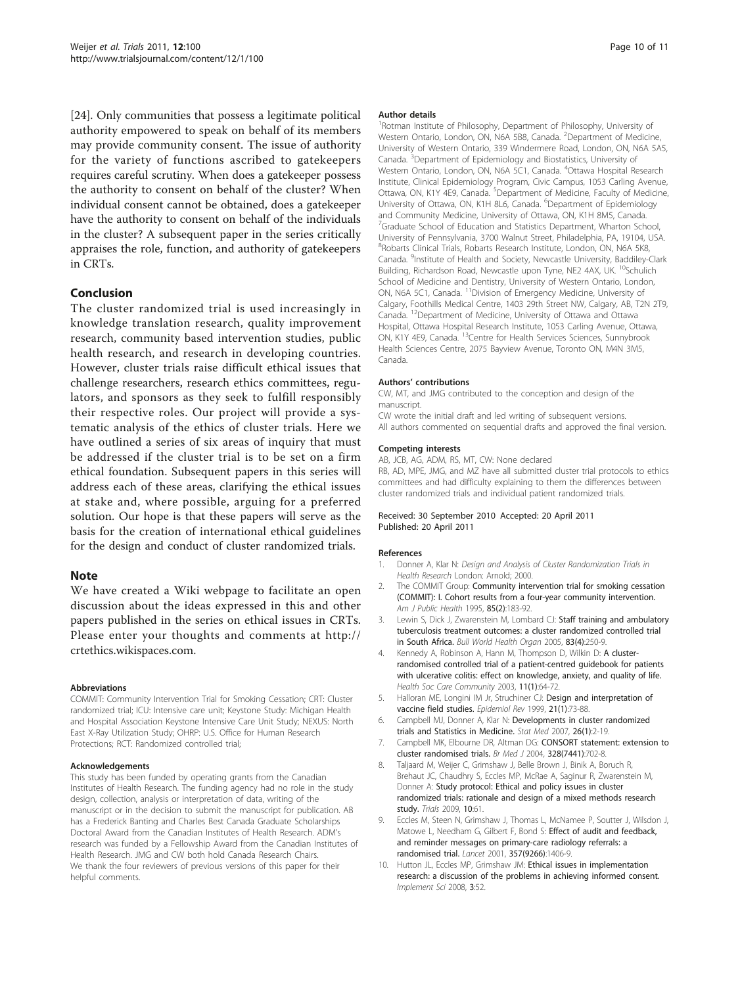<span id="page-9-0"></span>[[24\]](#page-10-0). Only communities that possess a legitimate political authority empowered to speak on behalf of its members may provide community consent. The issue of authority for the variety of functions ascribed to gatekeepers requires careful scrutiny. When does a gatekeeper possess the authority to consent on behalf of the cluster? When individual consent cannot be obtained, does a gatekeeper have the authority to consent on behalf of the individuals in the cluster? A subsequent paper in the series critically appraises the role, function, and authority of gatekeepers in CRTs.

# Conclusion

The cluster randomized trial is used increasingly in knowledge translation research, quality improvement research, community based intervention studies, public health research, and research in developing countries. However, cluster trials raise difficult ethical issues that challenge researchers, research ethics committees, regulators, and sponsors as they seek to fulfill responsibly their respective roles. Our project will provide a systematic analysis of the ethics of cluster trials. Here we have outlined a series of six areas of inquiry that must be addressed if the cluster trial is to be set on a firm ethical foundation. Subsequent papers in this series will address each of these areas, clarifying the ethical issues at stake and, where possible, arguing for a preferred solution. Our hope is that these papers will serve as the basis for the creation of international ethical guidelines for the design and conduct of cluster randomized trials.

#### Note

We have created a Wiki webpage to facilitate an open discussion about the ideas expressed in this and other papers published in the series on ethical issues in CRTs. Please enter your thoughts and comments at [http://](http://crtethics.wikispaces.com) [crtethics.wikispaces.com.](http://crtethics.wikispaces.com)

#### Abbreviations

COMMIT: Community Intervention Trial for Smoking Cessation; CRT: Cluster randomized trial; ICU: Intensive care unit; Keystone Study: Michigan Health and Hospital Association Keystone Intensive Care Unit Study; NEXUS: North East X-Ray Utilization Study; OHRP: U.S. Office for Human Research Protections; RCT: Randomized controlled trial;

#### Acknowledgements

This study has been funded by operating grants from the Canadian Institutes of Health Research. The funding agency had no role in the study design, collection, analysis or interpretation of data, writing of the manuscript or in the decision to submit the manuscript for publication. AB has a Frederick Banting and Charles Best Canada Graduate Scholarships Doctoral Award from the Canadian Institutes of Health Research. ADM's research was funded by a Fellowship Award from the Canadian Institutes of Health Research. JMG and CW both hold Canada Research Chairs. We thank the four reviewers of previous versions of this paper for their helpful comments.

#### Author details

<sup>1</sup> Rotman Institute of Philosophy, Department of Philosophy, University of Western Ontario, London, ON, N6A 5B8, Canada. <sup>2</sup>Department of Medicine, University of Western Ontario, 339 Windermere Road, London, ON, N6A 5A5, Canada. <sup>3</sup>Department of Epidemiology and Biostatistics, University of Western Ontario, London, ON, N6A 5C1, Canada. <sup>4</sup>Ottawa Hospital Research Institute, Clinical Epidemiology Program, Civic Campus, 1053 Carling Avenue, Ottawa, ON, K1Y 4E9, Canada. <sup>5</sup>Department of Medicine, Faculty of Medicine University of Ottawa, ON, K1H 8L6, Canada. <sup>6</sup>Department of Epidemiology and Community Medicine, University of Ottawa, ON, K1H 8M5, Canada. <sup>7</sup>Graduate School of Education and Statistics Department, Wharton School University of Pennsylvania, 3700 Walnut Street, Philadelphia, PA, 19104, USA. <sup>8</sup>Robarts Clinical Trials, Robarts Research Institute, London, ON, N6A 5K8 Canada. <sup>9</sup>Institute of Health and Society, Newcastle University, Baddiley-Clark Building, Richardson Road, Newcastle upon Tyne, NE2 4AX, UK. <sup>10</sup>Schulich School of Medicine and Dentistry, University of Western Ontario, London, ON, N6A 5C1, Canada. 11Division of Emergency Medicine, University of Calgary, Foothills Medical Centre, 1403 29th Street NW, Calgary, AB, T2N 2T9, Canada. 12Department of Medicine, University of Ottawa and Ottawa Hospital, Ottawa Hospital Research Institute, 1053 Carling Avenue, Ottawa, ON, K1Y 4E9, Canada. <sup>13</sup>Centre for Health Services Sciences, Sunnybrook Health Sciences Centre, 2075 Bayview Avenue, Toronto ON, M4N 3M5, Canada.

#### Authors' contributions

CW, MT, and JMG contributed to the conception and design of the manuscript.

CW wrote the initial draft and led writing of subsequent versions. All authors commented on sequential drafts and approved the final version.

#### Competing interests

AB, JCB, AG, ADM, RS, MT, CW: None declared

RB, AD, MPE, JMG, and MZ have all submitted cluster trial protocols to ethics committees and had difficulty explaining to them the differences between cluster randomized trials and individual patient randomized trials.

#### Received: 30 September 2010 Accepted: 20 April 2011 Published: 20 April 2011

#### References

- Donner A, Klar N: Design and Analysis of Cluster Randomization Trials in Health Research London: Arnold; 2000.
- 2. The COMMIT Group: [Community intervention trial for smoking cessation](http://www.ncbi.nlm.nih.gov/pubmed/7856777?dopt=Abstract) [\(COMMIT\): I. Cohort results from a four-year community intervention.](http://www.ncbi.nlm.nih.gov/pubmed/7856777?dopt=Abstract) Am J Public Health 1995, 85(2):183-92.
- 3. Lewin S, Dick J, Zwarenstein M, Lombard CJ: [Staff training and ambulatory](http://www.ncbi.nlm.nih.gov/pubmed/15868015?dopt=Abstract) [tuberculosis treatment outcomes: a cluster randomized controlled trial](http://www.ncbi.nlm.nih.gov/pubmed/15868015?dopt=Abstract) [in South Africa.](http://www.ncbi.nlm.nih.gov/pubmed/15868015?dopt=Abstract) Bull World Health Organ 2005, 83(4):250-9.
- 4. Kennedy A, Robinson A, Hann M, Thompson D, Wilkin D: [A cluster](http://www.ncbi.nlm.nih.gov/pubmed/14629234?dopt=Abstract)[randomised controlled trial of a patient-centred guidebook for patients](http://www.ncbi.nlm.nih.gov/pubmed/14629234?dopt=Abstract) [with ulcerative colitis: effect on knowledge, anxiety, and quality of life.](http://www.ncbi.nlm.nih.gov/pubmed/14629234?dopt=Abstract) Health Soc Care Community 2003, 11(1):64-72.
- 5. Halloran ME, Longini IM Jr, Struchiner CJ: [Design and interpretation of](http://www.ncbi.nlm.nih.gov/pubmed/10520474?dopt=Abstract) [vaccine field studies.](http://www.ncbi.nlm.nih.gov/pubmed/10520474?dopt=Abstract) Epidemiol Rev 1999, 21(1):73-88.
- 6. Campbell MJ, Donner A, Klar N: [Developments in cluster randomized](http://www.ncbi.nlm.nih.gov/pubmed/17136746?dopt=Abstract) [trials and Statistics in Medicine.](http://www.ncbi.nlm.nih.gov/pubmed/17136746?dopt=Abstract) Stat Med 2007, 26(1):2-19.
- Campbell MK, Elbourne DR, Altman DG: CONSORT statement: extension to cluster randomised trials. Br Med J 2004, 328(7441):702-8.
- 8. Taljaard M, Weijer C, Grimshaw J, Belle Brown J, Binik A, Boruch R, Brehaut JC, Chaudhry S, Eccles MP, McRae A, Saginur R, Zwarenstein M, Donner A: [Study protocol: Ethical and policy issues in cluster](http://www.ncbi.nlm.nih.gov/pubmed/19638233?dopt=Abstract) [randomized trials: rationale and design of a mixed methods research](http://www.ncbi.nlm.nih.gov/pubmed/19638233?dopt=Abstract) [study.](http://www.ncbi.nlm.nih.gov/pubmed/19638233?dopt=Abstract) Trials 2009, 10:61.
- 9. Eccles M, Steen N, Grimshaw J, Thomas L, McNamee P, Soutter J, Wilsdon J, Matowe L, Needham G, Gilbert F, Bond S: [Effect of audit and feedback,](http://www.ncbi.nlm.nih.gov/pubmed/11356439?dopt=Abstract) [and reminder messages on primary-care radiology referrals: a](http://www.ncbi.nlm.nih.gov/pubmed/11356439?dopt=Abstract) [randomised trial.](http://www.ncbi.nlm.nih.gov/pubmed/11356439?dopt=Abstract) Lancet 2001, 357(9266):1406-9.
- 10. Hutton JL, Eccles MP, Grimshaw JM: [Ethical issues in implementation](http://www.ncbi.nlm.nih.gov/pubmed/19091100?dopt=Abstract) [research: a discussion of the problems in achieving informed consent.](http://www.ncbi.nlm.nih.gov/pubmed/19091100?dopt=Abstract) Implement Sci 2008, 3:52.